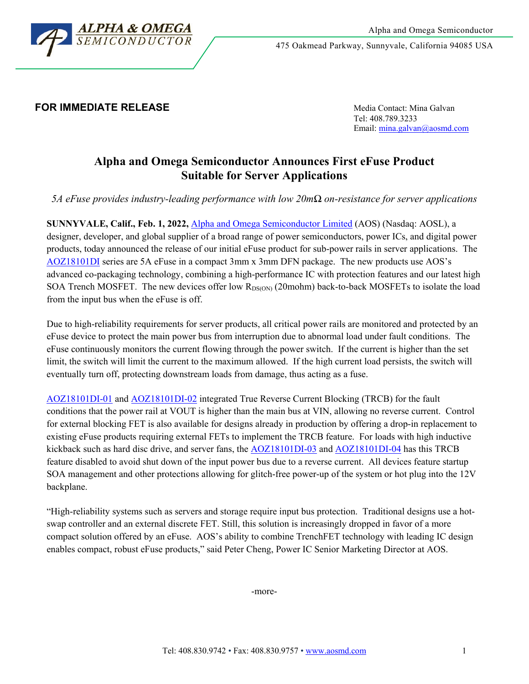

### **FOR IMMEDIATE RELEASE Media Contact:** Mina Galvan

Tel: 408.789.3233 Email[: mina.galvan@aosmd.com](mailto:mina.galvan@aosmd.com)

# **Alpha and Omega Semiconductor Announces First eFuse Product Suitable for Server Applications**

*5A eFuse provides industry-leading performance with low 20mΩ on-resistance for server applications*

**SUNNYVALE, Calif., Feb. 1, 2022,** [Alpha and Omega Semiconductor Limited](http://www.aosmd.com/) (AOS) (Nasdaq: AOSL), a designer, developer, and global supplier of a broad range of power semiconductors, power ICs, and digital power products, today announced the release of our initial eFuse product for sub-power rails in server applications. The [AOZ18101DI](http://www.aosmd.com/res/data_sheets/AOZ18101DI-01.pdf) series are 5A eFuse in a compact 3mm x 3mm DFN package. The new products use AOS's advanced co-packaging technology, combining a high-performance IC with protection features and our latest high SOA Trench MOSFET. The new devices offer low  $R_{DS(ON)}$  (20mohm) back-to-back MOSFETs to isolate the load from the input bus when the eFuse is off.

Due to high-reliability requirements for server products, all critical power rails are monitored and protected by an eFuse device to protect the main power bus from interruption due to abnormal load under fault conditions. The eFuse continuously monitors the current flowing through the power switch. If the current is higher than the set limit, the switch will limit the current to the maximum allowed. If the high current load persists, the switch will eventually turn off, protecting downstream loads from damage, thus acting as a fuse.

[AOZ18101DI-01](http://www.aosmd.com/res/data_sheets/AOZ18101DI-01.pdf) and [AOZ18101DI-02](http://www.aosmd.com/res/data_sheets/AOZ18101DI-01.pdf) integrated True Reverse Current Blocking (TRCB) for the fault conditions that the power rail at VOUT is higher than the main bus at VIN, allowing no reverse current. Control for external blocking FET is also available for designs already in production by offering a drop-in replacement to existing eFuse products requiring external FETs to implement the TRCB feature. For loads with high inductive kickback such as hard disc drive, and server fans, the **AOZ18101DI-03** and **AOZ18101DI-04** has this TRCB feature disabled to avoid shut down of the input power bus due to a reverse current. All devices feature startup SOA management and other protections allowing for glitch-free power-up of the system or hot plug into the 12V backplane.

"High-reliability systems such as servers and storage require input bus protection. Traditional designs use a hotswap controller and an external discrete FET. Still, this solution is increasingly dropped in favor of a more compact solution offered by an eFuse. AOS's ability to combine TrenchFET technology with leading IC design enables compact, robust eFuse products," said Peter Cheng, Power IC Senior Marketing Director at AOS.

-more-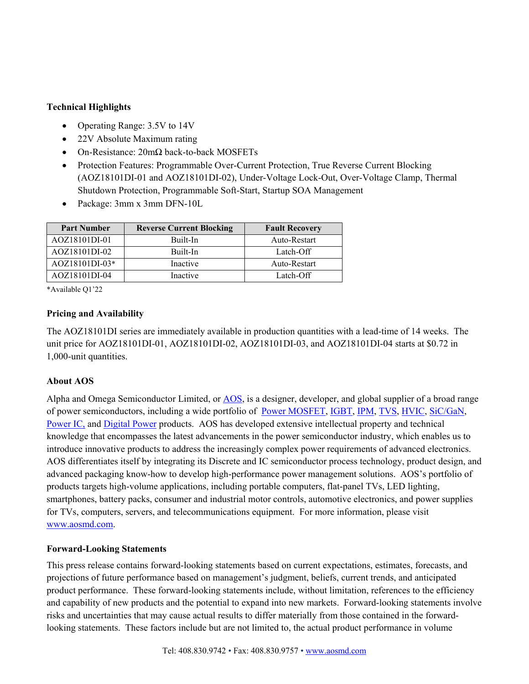## **Technical Highlights**

- Operating Range: 3.5V to 14V
- 22V Absolute Maximum rating
- On-Resistance: 20mΩ back-to-back MOSFETs
- Protection Features: Programmable Over-Current Protection, True Reverse Current Blocking (AOZ18101DI-01 and AOZ18101DI-02), Under-Voltage Lock-Out, Over-Voltage Clamp, Thermal Shutdown Protection, Programmable Soft-Start, Startup SOA Management
- Package: 3mm x 3mm DFN-10L

| <b>Part Number</b> | <b>Reverse Current Blocking</b> | <b>Fault Recovery</b> |
|--------------------|---------------------------------|-----------------------|
| AOZ18101DI-01      | Built-In                        | Auto-Restart          |
| AOZ18101DI-02      | Built-In                        | Latch-Off             |
| AOZ18101DI-03*     | Inactive                        | Auto-Restart          |
| AOZ18101DI-04      | Inactive                        | Latch-Off             |

\*Available Q1'22

### **Pricing and Availability**

The AOZ18101DI series are immediately available in production quantities with a lead-time of 14 weeks. The unit price for AOZ18101DI-01, AOZ18101DI-02, AOZ18101DI-03, and AOZ18101DI-04 starts at \$0.72 in 1,000-unit quantities.

### **About AOS**

Alpha and Omega Semiconductor Limited, or [AOS,](http://www.aosmd.com/) is a designer, developer, and global supplier of a broad range of power semiconductors, including a wide portfolio of [Power MOSFET,](http://www.aosmd.com/products/mosfets) [IGBT,](http://www.aosmd.com/products/igbts) [IPM,](http://www.aosmd.com/products/ipm) [TVS,](http://www.aosmd.com/products/tvs/esd-tvs) [HVIC,](http://www.aosmd.com/products/hvic/hvic-6-channel) [SiC/](http://www.aosmd.com/products/gan/sic)GaN, [Power IC,](http://www.aosmd.com/products/power-ics/ezbuck-dc-dc-buck-regulators) and [Digital Power](http://www.aosmd.com/products/power-ics/digital-multi) products. AOS has developed extensive intellectual property and technical knowledge that encompasses the latest advancements in the power semiconductor industry, which enables us to introduce innovative products to address the increasingly complex power requirements of advanced electronics. AOS differentiates itself by integrating its Discrete and IC semiconductor process technology, product design, and advanced packaging know-how to develop high-performance power management solutions. AOS's portfolio of products targets high-volume applications, including portable computers, flat-panel TVs, LED lighting, smartphones, battery packs, consumer and industrial motor controls, automotive electronics, and power supplies for TVs, computers, servers, and telecommunications equipment. For more information, please visit [www.aosmd.com.](http://www.aosmd.com/)

#### **Forward-Looking Statements**

This press release contains forward-looking statements based on current expectations, estimates, forecasts, and projections of future performance based on management's judgment, beliefs, current trends, and anticipated product performance. These forward-looking statements include, without limitation, references to the efficiency and capability of new products and the potential to expand into new markets. Forward-looking statements involve risks and uncertainties that may cause actual results to differ materially from those contained in the forwardlooking statements. These factors include but are not limited to, the actual product performance in volume